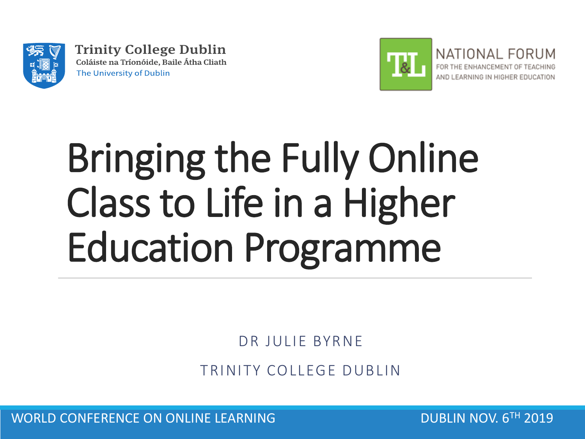

**Trinity College Dublin** Coláiste na Tríonóide, Baile Átha Cliath The University of Dublin



# Bringing the Fully Online Class to Life in a Higher Education Programme

DR JULIF BYRNF

TRINITY COLLEGE DUBLIN

WORLD CONFERENCE ON ONLINE LEARNING DUBLIN NOV. 6TH 2019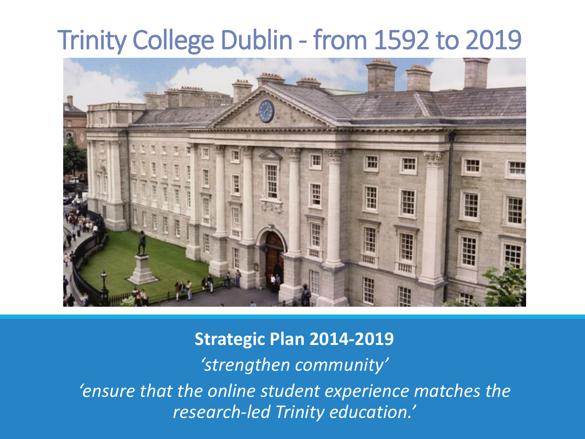# Trinity College Dublin - from 1592 to 2019



**Strategic Plan 2014-2019** *'strengthen community' 'ensure that the online student experience matches the research-led Trinity education.'*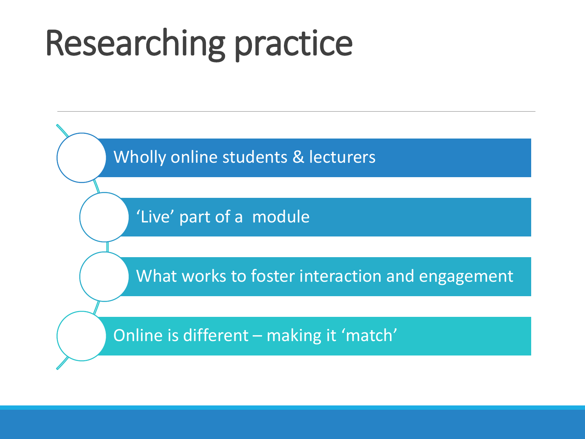# Researching practice

Wholly online students & lecturers

'Live' part of a module

What works to foster interaction and engagement

Online is different – making it 'match'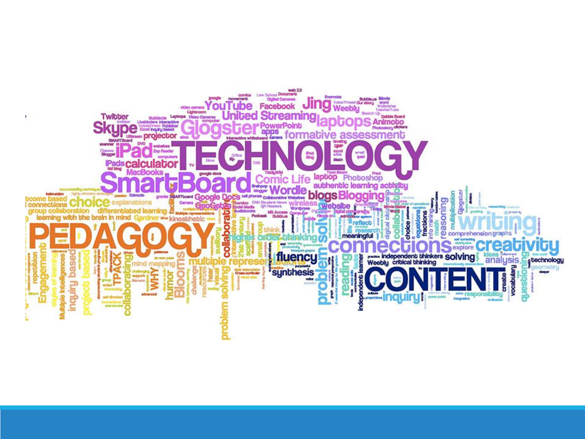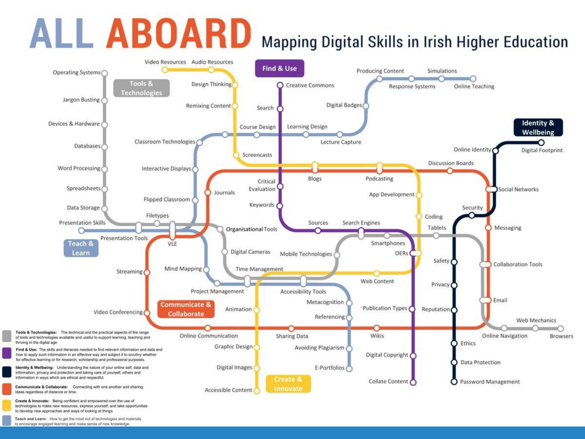# ALL ABOARD Mapping Digital Skills in Irish Higher Education



Create & Innovate: Being confident and empowered over the use of technologies to make new resources, express yourself, and take opportunities to develop new approaches and ways of looking at things.

Teach and Learn: How to get the most out of technologies and materials to encourage engaged learning and make sense of new knowledge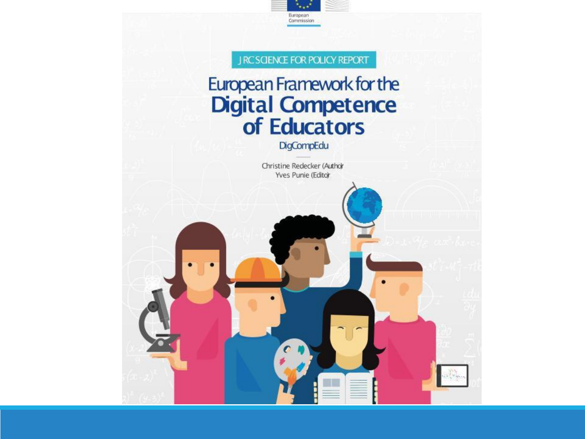

#### J RC SCIENCE FOR POLICY REPORT

# European Framework for the<br>**Digital Competence**<br>**of Educators**

#### **DigCompEdu**

Christine Redecker (Author Yves Punie (Editor

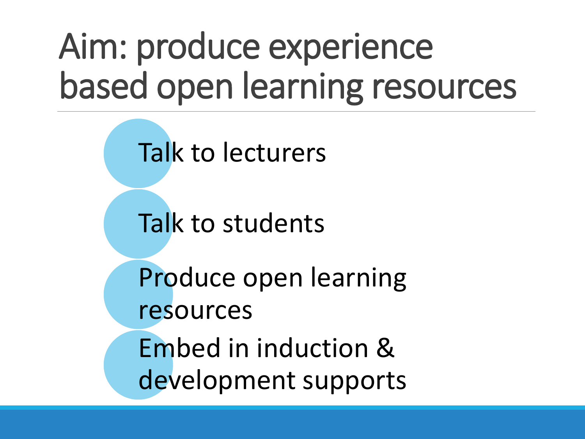# Aim: produce experience based open learning resources

Talk to lecturers Talk to students Produce open learning resources Embed in induction & development supports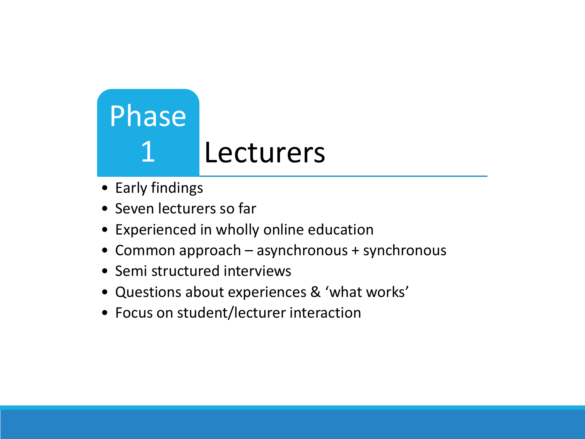## Lecturers Phase 1

- Early findings
- Seven lecturers so far
- Experienced in wholly online education
- Common approach asynchronous + synchronous
- Semi structured interviews
- Questions about experiences & 'what works'
- Focus on student/lecturer interaction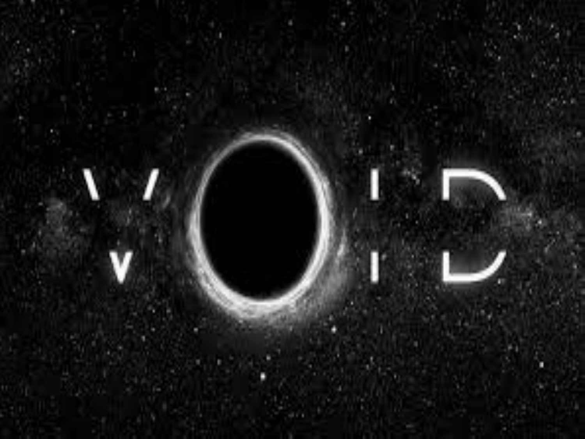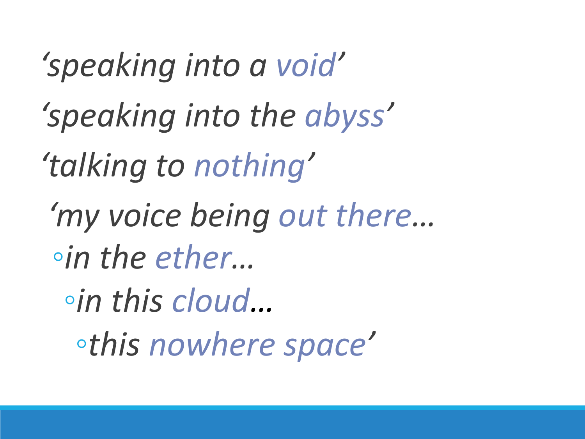*'speaking into a void' 'speaking into the abyss' 'talking to nothing' 'my voice being out there…*  ◦*in the ether…* ◦*in this cloud…* ◦*this nowhere space'*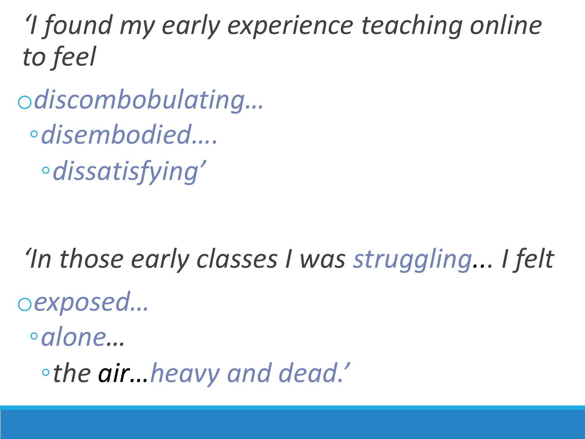*'I found my early experience teaching online to feel* 

o*discombobulating…* ◦*disembodied….* ◦*dissatisfying'*

*'In those early classes I was struggling... I felt*  o*exposed…* ◦*alone…* ◦*the air…heavy and dead.'*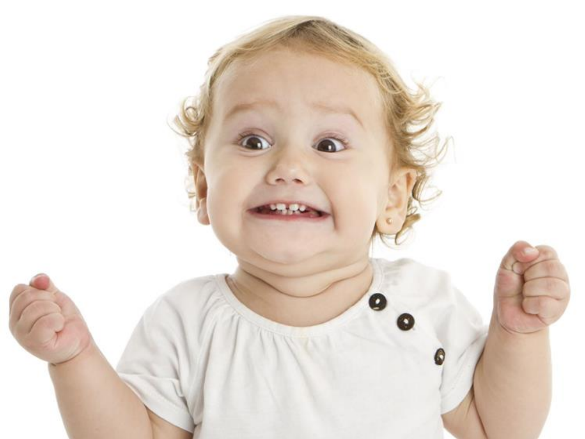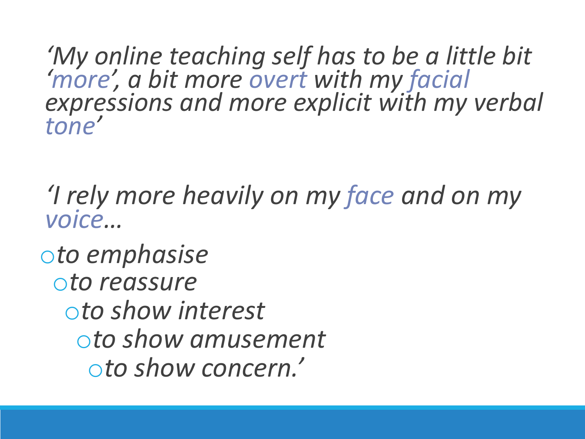*'My online teaching self has to be a little bit 'more', a bit more overt with my facial expressions and more explicit with my verbal tone'*

*'I rely more heavily on my face and on my voice…*

o*to emphasise* o*to reassure* o*to show interest* o*to show amusement* o*to show concern.'*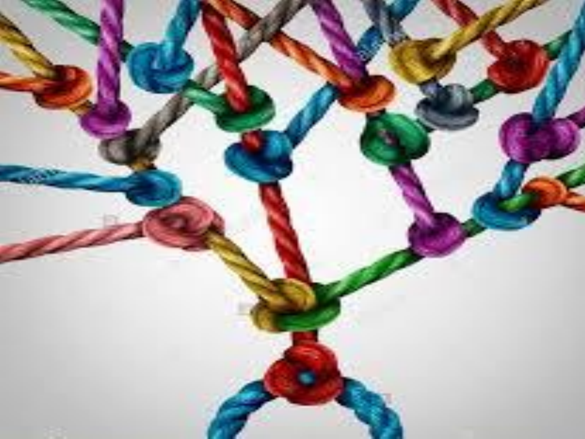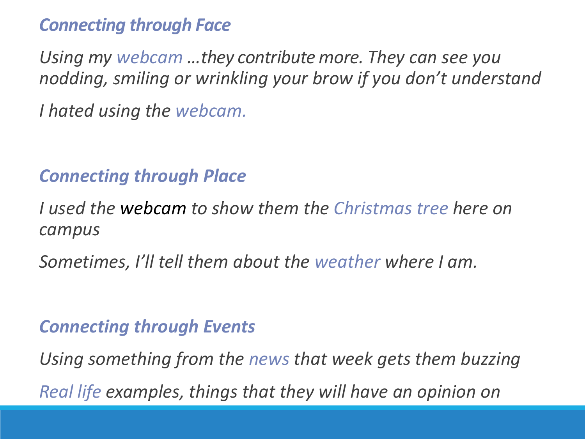### *Connecting through Face*

*Using my webcam …they contribute more. They can see you nodding, smiling or wrinkling your brow if you don't understand* 

*I hated using the webcam.*

### *Connecting through Place*

*I used the webcam to show them the Christmas tree here on campus*

*Sometimes, I'll tell them about the weather where I am.*

## *Connecting through Events*

*Using something from the news that week gets them buzzing Real life examples, things that they will have an opinion on*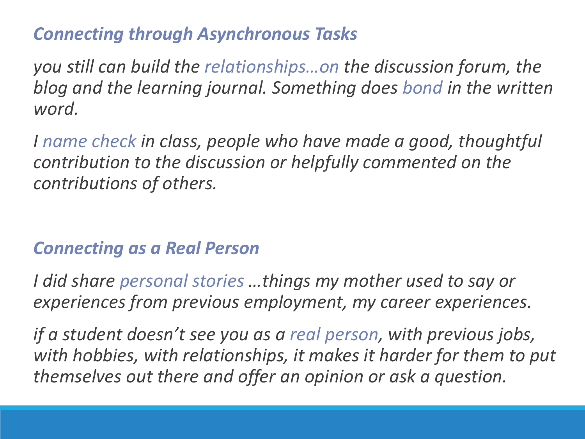## *Connecting through Asynchronous Tasks*

*you still can build the relationships…on the discussion forum, the blog and the learning journal. Something does bond in the written word.* 

*I name check in class, people who have made a good, thoughtful contribution to the discussion or helpfully commented on the contributions of others.* 

## *Connecting as a Real Person*

*I did share personal stories …things my mother used to say or experiences from previous employment, my career experiences.*

*if a student doesn't see you as a real person, with previous jobs, with hobbies, with relationships, it makes it harder for them to put themselves out there and offer an opinion or ask a question.*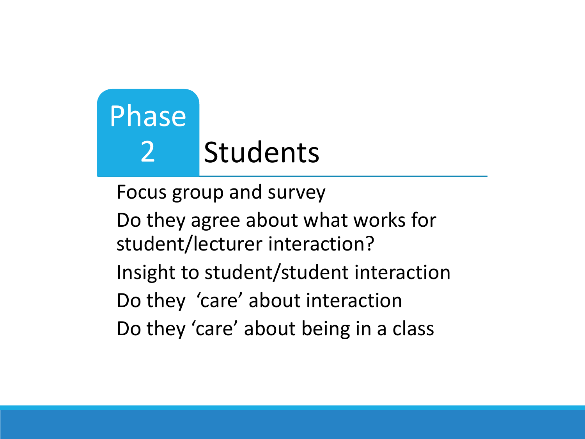## Students Phase 2

Focus group and survey

Do they agree about what works for student/lecturer interaction?

Insight to student/student interaction

Do they 'care' about interaction

Do they 'care' about being in a class